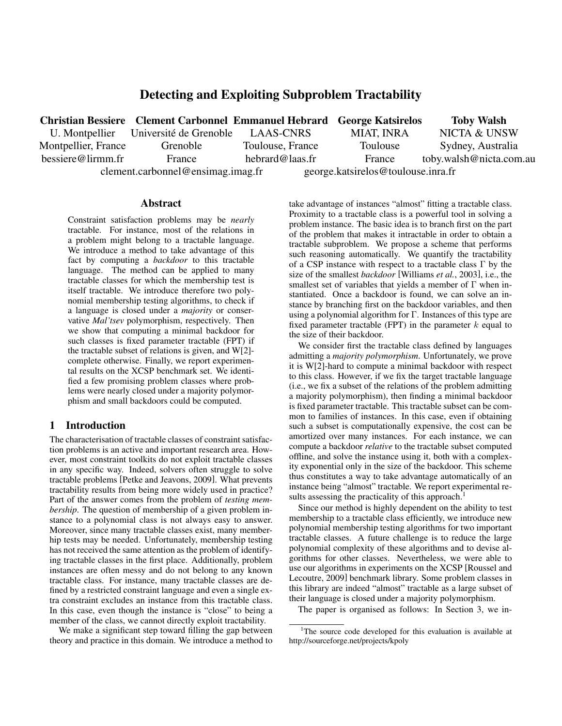# Detecting and Exploiting Subproblem Tractability

|                     | <b>Christian Bessiere Clement Carbonnel Emmanuel Hebrard George Katsirelos</b> |                  |                                    | <b>Toby Walsh</b>       |
|---------------------|--------------------------------------------------------------------------------|------------------|------------------------------------|-------------------------|
|                     | U. Montpellier Université de Grenoble                                          | LAAS-CNRS        | <b>MIAT, INRA</b>                  | NICTA & UNSW            |
| Montpellier, France | Grenoble                                                                       | Toulouse, France | Toulouse                           | Sydney, Australia       |
| bessiere@lirmm.fr   | France                                                                         | hebrard@laas.fr  | France                             | toby.walsh@nicta.com.au |
|                     | $element.carbonnel@ensing)_$                                                   |                  | george.katsirelos@toulouse.inra.fr |                         |

#### **Abstract**

Constraint satisfaction problems may be *nearly* tractable. For instance, most of the relations in a problem might belong to a tractable language. We introduce a method to take advantage of this fact by computing a *backdoor* to this tractable language. The method can be applied to many tractable classes for which the membership test is itself tractable. We introduce therefore two polynomial membership testing algorithms, to check if a language is closed under a *majority* or conservative *Mal'tsev* polymorphism, respectively. Then we show that computing a minimal backdoor for such classes is fixed parameter tractable (FPT) if the tractable subset of relations is given, and  $W[2]$ complete otherwise. Finally, we report experimental results on the XCSP benchmark set. We identified a few promising problem classes where problems were nearly closed under a majority polymorphism and small backdoors could be computed.

# 1 Introduction

The characterisation of tractable classes of constraint satisfaction problems is an active and important research area. However, most constraint toolkits do not exploit tractable classes in any specific way. Indeed, solvers often struggle to solve tractable problems [Petke and Jeavons, 2009]. What prevents tractability results from being more widely used in practice? Part of the answer comes from the problem of *testing membership*. The question of membership of a given problem instance to a polynomial class is not always easy to answer. Moreover, since many tractable classes exist, many memberhip tests may be needed. Unfortunately, membership testing has not received the same attention as the problem of identifying tractable classes in the first place. Additionally, problem instances are often messy and do not belong to any known tractable class. For instance, many tractable classes are defined by a restricted constraint language and even a single extra constraint excludes an instance from this tractable class. In this case, even though the instance is "close" to being a member of the class, we cannot directly exploit tractability.

We make a significant step toward filling the gap between theory and practice in this domain. We introduce a method to take advantage of instances "almost" fitting a tractable class. Proximity to a tractable class is a powerful tool in solving a problem instance. The basic idea is to branch first on the part of the problem that makes it intractable in order to obtain a tractable subproblem. We propose a scheme that performs such reasoning automatically. We quantify the tractability of a CSP instance with respect to a tractable class Γ by the size of the smallest *backdoor* [Williams *et al.*, 2003], i.e., the smallest set of variables that yields a member of  $\Gamma$  when instantiated. Once a backdoor is found, we can solve an instance by branching first on the backdoor variables, and then using a polynomial algorithm for Γ. Instances of this type are fixed parameter tractable (FPT) in the parameter  $k$  equal to the size of their backdoor.

We consider first the tractable class defined by languages admitting a *majority polymorphism*. Unfortunately, we prove it is W[2]-hard to compute a minimal backdoor with respect to this class. However, if we fix the target tractable language (i.e., we fix a subset of the relations of the problem admitting a majority polymorphism), then finding a minimal backdoor is fixed parameter tractable. This tractable subset can be common to families of instances. In this case, even if obtaining such a subset is computationally expensive, the cost can be amortized over many instances. For each instance, we can compute a backdoor *relative* to the tractable subset computed offline, and solve the instance using it, both with a complexity exponential only in the size of the backdoor. This scheme thus constitutes a way to take advantage automatically of an instance being "almost" tractable. We report experimental results assessing the practicality of this approach.<sup>1</sup>

Since our method is highly dependent on the ability to test membership to a tractable class efficiently, we introduce new polynomial membership testing algorithms for two important tractable classes. A future challenge is to reduce the large polynomial complexity of these algorithms and to devise algorithms for other classes. Nevertheless, we were able to use our algorithms in experiments on the XCSP [Roussel and Lecoutre, 2009] benchmark library. Some problem classes in this library are indeed "almost" tractable as a large subset of their language is closed under a majority polymorphism.

The paper is organised as follows: In Section 3, we in-

<sup>&</sup>lt;sup>1</sup>The source code developed for this evaluation is available at http://sourceforge.net/projects/kpoly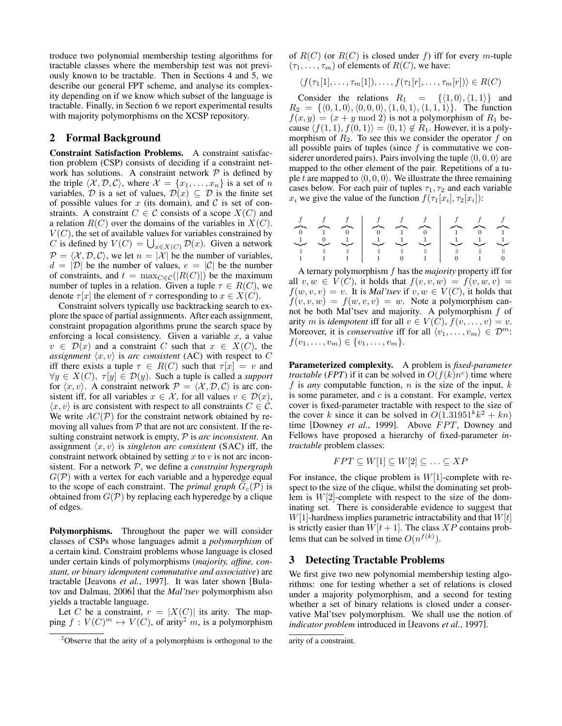troduce two polynomial membership testing algorithms for tractable classes where the membership test was not previously known to be tractable. Then in Sections 4 and 5, we describe our general FPT scheme, and analyse its complexity depending on if we know which subset of the language is tractable. Finally, in Section 6 we report experimental results with majority polymorphisms on the XCSP repository.

# 2 Formal Background

Constraint Satisfaction Problems. A constraint satisfaction problem (CSP) consists of deciding if a constraint network has solutions. A constraint network  $P$  is defined by the triple  $\langle \mathcal{X}, \mathcal{D}, \mathcal{C} \rangle$ , where  $\mathcal{X} = \{x_1, \dots, x_n\}$  is a set of n variables, D is a set of values,  $\mathcal{D}(x) \subseteq \mathcal{D}$  is the finite set of possible values for x (its domain), and C is set of constraints. A constraint  $C \in \mathcal{C}$  consists of a scope  $X(C)$  and a relation  $R(C)$  over the domains of the variables in  $X(C)$ .  $V(C)$ , the set of available values for variables constrained by C is defined by  $V(C) = \bigcup_{x \in X(C)} \mathcal{D}(x)$ . Given a network  $\mathcal{P} = \langle \mathcal{X}, \mathcal{D}, \mathcal{C} \rangle$ , we let  $n = |\mathcal{X}|$  be the number of variables,  $d = |\mathcal{D}|$  be the number of values,  $e = |\mathcal{C}|$  be the number of constraints, and  $t = \max_{C \in \mathcal{C}}(|R(C)|)$  be the maximum number of tuples in a relation. Given a tuple  $\tau \in R(C)$ , we denote  $\tau[x]$  the element of  $\tau$  corresponding to  $x \in X(C)$ .

Constraint solvers typically use backtracking search to explore the space of partial assignments. After each assignment, constraint propagation algorithms prune the search space by enforcing a local consistency. Given a variable  $x$ , a value  $v \in \mathcal{D}(x)$  and a constraint C such that  $x \in X(C)$ , the *assignment*  $\langle x, v \rangle$  is *arc consistent* (AC) with respect to C iff there exists a tuple  $\tau \in R(C)$  such that  $\tau[x] = v$  and  $\forall y \in X(C), \tau[y] \in \mathcal{D}(y)$ . Such a tuple is called a *support* for  $\langle x, v \rangle$ . A constraint network  $\mathcal{P} = \langle \mathcal{X}, \mathcal{D}, \mathcal{C} \rangle$  is arc consistent iff, for all variables  $x \in \mathcal{X}$ , for all values  $v \in \mathcal{D}(x)$ ,  $\langle x, v \rangle$  is arc consistent with respect to all constraints  $C \in \mathcal{C}$ . We write  $AC(\mathcal{P})$  for the constraint network obtained by removing all values from  $P$  that are not arc consistent. If the resulting constraint network is empty, P is *arc inconsistent*. An assignment  $\langle x, v \rangle$  is *singleton arc consistent* (SAC) iff, the constraint network obtained by setting  $x$  to  $v$  is not arc inconsistent. For a network P, we define a *constraint hypergraph*  $G(\mathcal{P})$  with a vertex for each variable and a hyperedge equal to the scope of each constraint. The *primal graph*  $G_c(\mathcal{P})$  is obtained from  $G(\mathcal{P})$  by replacing each hyperedge by a clique of edges.

Polymorphisms. Throughout the paper we will consider classes of CSPs whose languages admit a *polymorphism* of a certain kind. Constraint problems whose language is closed under certain kinds of polymorphisms (*majority, affine, constant, or binary idempotent commutative and associative*) are tractable [Jeavons *et al.*, 1997]. It was later shown [Bulatov and Dalmau, 2006] that the *Mal'tsev* polymorphism also yields a tractable language.

Let C be a constraint,  $r = |X(C)|$  its arity. The mapping  $f: V(C)^m \mapsto V(C)$ , of arity<sup>2</sup> m, is a polymorphism of  $R(C)$  (or  $R(C)$  is closed under f) iff for every m-tuple  $(\tau_1, \ldots, \tau_m)$  of elements of  $R(C)$ , we have:

$$
\langle f(\tau_1[1],\ldots,\tau_m[1]),\ldots,f(\tau_1[r],\ldots,\tau_m[r])\rangle \in R(C)
$$

Consider the relations  $R_1 = \{ \langle 1, 0 \rangle, \langle 1, 1 \rangle \}$  and  $R_2 = \{ \langle 0, 1, 0 \rangle, \langle 0, 0, 0 \rangle, \langle 1, 0, 1 \rangle, \langle 1, 1, 1 \rangle \}.$  The function  $f(x, y) = (x + y \mod 2)$  is not a polymorphism of  $R_1$  because  $\langle f(1, 1), f(0, 1)\rangle = \langle 0, 1\rangle \notin R_1$ . However, it is a polymorphism of  $R_2$ . To see this we consider the operator f on all possible pairs of tuples (since  $f$  is commutative we considerer unordered pairs). Pairs involving the tuple  $\langle 0, 0, 0 \rangle$  are mapped to the other element of the pair. Repetitions of a tuple t are mapped to  $(0, 0, 0)$ . We illustrate the three remaining cases below. For each pair of tuples  $\tau_1, \tau_2$  and each variable  $x_i$  we give the value of the function  $f(\tau_1[x_i], \tau_2[x_i])$ :

f f f f f f f f f z}|{ 0 z}|{ 1 z}|{ 0 z}|{ 0 z}|{ 1 z}|{ 0 z}|{ 1 z}|{ 0 z}|{ 1 1 |{z} 0 |{z} 1 |{z} 1 |{z} 1 |{z} 1 |{z} 1 |{z} 1 |{z} 1 |{z} 1 1 1 1 0 1 0 1 0

A ternary polymorphism f has the *majority* property iff for all  $v, w \in V(C)$ , it holds that  $f(v, v, w) = f(v, w, v) =$  $f(w, v, v) = v$ . It is *Mal'tsev* if  $v, w \in V(C)$ , it holds that  $f(v, v, w) = f(w, v, v) = w$ . Note a polymorphism cannot be both Mal'tsev and majority. A polymorphism f of arity *m* is *idempotent* iff for all  $v \in V(C)$ ,  $f(v, \ldots, v) = v$ . Moreover, it is *conservative* iff for all  $\langle v_1, \ldots, v_m \rangle \in \mathcal{D}^m$ :  $f(v_1, \ldots, v_m) \in \{v_1, \ldots, v_m\}.$ 

Parameterized complexity. A problem is *fixed-parameter tractable* (*FPT*) if it can be solved in  $O(f(k)n^c)$  time where f is *any* computable function,  $n$  is the size of the input,  $k$ is some parameter, and  $c$  is a constant. For example, vertex cover is fixed-parameter tractable with respect to the size of the cover k since it can be solved in  $O(1.31951^k k^2 + kn)$ time [Downey *et al.*, 1999]. Above FPT, Downey and Fellows have proposed a hierarchy of fixed-parameter *intractable* problem classes:

$$
FPT \subseteq W[1] \subseteq W[2] \subseteq \ldots \subseteq XP
$$

For instance, the clique problem is  $W[1]$ -complete with respect to the size of the clique, whilst the dominating set problem is  $W[2]$ -complete with respect to the size of the dominating set. There is considerable evidence to suggest that  $W[1]$ -hardness implies parametric intractability and that  $W[t]$ is strictly easier than  $W[t+1]$ . The class  $XP$  contains problems that can be solved in time  $O(n^{f(k)})$ .

## 3 Detecting Tractable Problems

We first give two new polynomial membership testing algorithms: one for testing whether a set of relations is closed under a majority polymorphism, and a second for testing whether a set of binary relations is closed under a conservative Mal'tsev polymorphism. We shall use the notion of *indicator problem* introduced in [Jeavons *et al.*, 1997].

<sup>&</sup>lt;sup>2</sup>Observe that the arity of a polymorphism is orthogonal to the

arity of a constraint.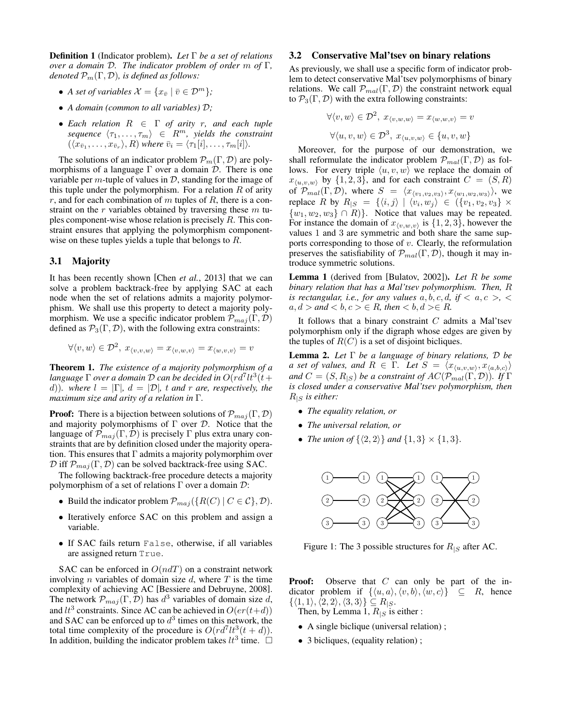Definition 1 (Indicator problem). *Let* Γ *be a set of relations over a domain* D*. The indicator problem of order* m *of* Γ*, denoted*  $\mathcal{P}_m(\Gamma, \mathcal{D})$ *, is defined as follows:* 

- *A set of variables*  $\mathcal{X} = \{x_{\bar{v}} \mid \bar{v} \in \mathcal{D}^m\};$
- *A domain (common to all variables)* D*;*
- *Each relation* R ∈ Γ *of arity* r*, and each tuple sequence*  $\langle \tau_1, \ldots, \tau_m \rangle \in R^m$ , yields the constraint  $(\langle x_{\bar{v}_1}, \ldots, x_{\bar{v}_r} \rangle, R)$  where  $\bar{v}_i = \langle \tau_1[i], \ldots, \tau_m[i] \rangle$ .

The solutions of an indicator problem  $\mathcal{P}_m(\Gamma, \mathcal{D})$  are polymorphisms of a language  $\Gamma$  over a domain  $\mathcal D$ . There is one variable per  $m$ -tuple of values in  $D$ , standing for the image of this tuple under the polymorphism. For a relation  $R$  of arity r, and for each combination of m tuples of R, there is a constraint on the  $r$  variables obtained by traversing these  $m$  tuples component-wise whose relation is precisely  $R$ . This constraint ensures that applying the polymorphism componentwise on these tuples yields a tuple that belongs to R.

## 3.1 Majority

It has been recently shown [Chen *et al.*, 2013] that we can solve a problem backtrack-free by applying SAC at each node when the set of relations admits a majority polymorphism. We shall use this property to detect a majority polymorphism. We use a specific indicator problem  $\mathcal{P}_{maj}(\Gamma, \mathcal{D})$ defined as  $\mathcal{P}_3(\Gamma, \mathcal{D})$ , with the following extra constraints:

$$
\forall \langle v, w \rangle \in \mathcal{D}^2, \ x_{\langle v, v, w \rangle} = x_{\langle v, w, v \rangle} = x_{\langle w, v, v \rangle} = v
$$

Theorem 1. *The existence of a majority polymorphism of a* language  $\Gamma$  over a domain  $\overline{\mathcal{D}}$  can be decided in  $O(r d^7 l t^3(t+1))$ d))*.* where  $l = |\Gamma|$ ,  $d = |\mathcal{D}|$ , t and r are, respectively, the *maximum size and arity of a relation in* Γ*.*

**Proof:** There is a bijection between solutions of  $\mathcal{P}_{maj}(\Gamma, \mathcal{D})$ and majority polymorphisms of  $\Gamma$  over  $\mathcal{D}$ . Notice that the language of  $\mathcal{P}_{maj}(\Gamma, \mathcal{D})$  is precisely  $\Gamma$  plus extra unary constraints that are by definition closed under the majority operation. This ensures that  $\Gamma$  admits a majority polymorphim over  $\mathcal D$  iff  $\mathcal P_{maj}(\Gamma, \mathcal D)$  can be solved backtrack-free using SAC.

The following backtrack-free procedure detects a majority polymorphism of a set of relations  $\Gamma$  over a domain  $\mathcal{D}$ :

- Build the indicator problem  $\mathcal{P}_{maj}(\{R(C) | C \in \mathcal{C}\}, \mathcal{D}).$
- Iteratively enforce SAC on this problem and assign a variable.
- If SAC fails return False, otherwise, if all variables are assigned return True.

SAC can be enforced in  $O(ndT)$  on a constraint network involving *n* variables of domain size  $d$ , where  $T$  is the time complexity of achieving AC [Bessiere and Debruyne, 2008]. The network  $\mathcal{P}_{maj}(\Gamma, \overline{\mathcal{D}})$  has  $d^3$  variables of domain size d, and  $lt^3$  constraints. Since AC can be achieved in  $O(er(t+d))$ and SAC can be enforced up to  $d^3$  times on this network, the total time complexity of the procedure is  $O(r d^7 l t^3 (t + d))$ . In addition, building the indicator problem takes  $lt^3$  time.

#### 3.2 Conservative Mal'tsev on binary relations

As previously, we shall use a specific form of indicator problem to detect conservative Mal'tsev polymorphisms of binary relations. We call  $\mathcal{P}_{mal}(\Gamma, \mathcal{D})$  the constraint network equal to  $\mathcal{P}_3(\Gamma, \mathcal{D})$  with the extra following constraints:

$$
\forall \langle v, w \rangle \in \mathcal{D}^2, x_{\langle v, w, w \rangle} = x_{\langle w, w, v \rangle} = v
$$

$$
\forall \langle u, v, w \rangle \in \mathcal{D}^3, x_{\langle u, v, w \rangle} \in \{u, v, w\}
$$

Moreover, for the purpose of our demonstration, we shall reformulate the indicator problem  $\mathcal{P}_{mal}(\Gamma, \mathcal{D})$  as follows. For every triple  $\langle u, v, w \rangle$  we replace the domain of  $x_{\langle u,v,w \rangle}$  by  $\{1, 2, 3\}$ , and for each constraint  $C = (S, R)$ of  $\mathcal{P}_{mal}(\Gamma, \mathcal{D})$ , where  $S = \langle x_{\langle v_1, v_2, v_3 \rangle}, x_{\langle w_1, w_2, w_3 \rangle} \rangle$ , we replace R by  $R_{|S} = \{ \langle i, j \rangle \mid \langle v_i, w_j \rangle \in (\{v_1, v_2, v_3\} \times$  $\{w_1, w_2, w_3\} \cap R$ . Notice that values may be repeated. For instance the domain of  $x_{\langle v,w,v\rangle}$  is  $\{1, 2, 3\}$ , however the values 1 and 3 are symmetric and both share the same supports corresponding to those of  $v$ . Clearly, the reformulation preserves the satisfiability of  $\mathcal{P}_{mal}(\Gamma, \mathcal{D})$ , though it may introduce symmetric solutions.

Lemma 1 (derived from [Bulatov, 2002]). *Let* R *be some binary relation that has a Mal'tsev polymorphism. Then,* R *is rectangular, i.e., for any values*  $a, b, c, d, if < a, c >, \leq$  $a, d >$  and **,**  $c > \in R$ **, then**  $**d**$ **,**  $d > \in R$ **.** 

It follows that a binary constraint  $C$  admits a Mal'tsev polymorphism only if the digraph whose edges are given by the tuples of  $R(C)$  is a set of disjoint bicliques.

Lemma 2. *Let* Γ *be a language of binary relations,* D *be a set of values, and*  $R \in \Gamma$ . Let  $S = \langle x_{\langle u,v,w \rangle}, x_{\langle a,b,c \rangle} \rangle$ *and*  $C = (S, R_{|S})$  *be a constraint of*  $AC(\mathcal{P}_{mal}(\Gamma, \mathcal{D}))$ *. If*  $\Gamma$ *is closed under a conservative Mal'tsev polymorphism, then*  $R_{\text{IS}}$  *is either:* 

- *The equality relation, or*
- *The universal relation, or*
- *The union of*  $\{\langle 2, 2 \rangle\}$  *and*  $\{1, 3\} \times \{1, 3\}$ *.*



Figure 1: The 3 possible structures for  $R_{\mid S}$  after AC.

**Proof:** Observe that  $C$  can only be part of the indicator problem if  $\{\langle u, a \rangle, \langle v, b \rangle, \langle w, c \rangle\} \subseteq R$ , hence  $\{\langle 1, 1 \rangle, \langle 2, 2 \rangle, \langle 3, 3 \rangle\} \subseteq R_{|S}.$ 

Then, by Lemma 1,  $R_{\mid S}$  is either :

- A single biclique (universal relation);
- 3 bicliques, (equality relation);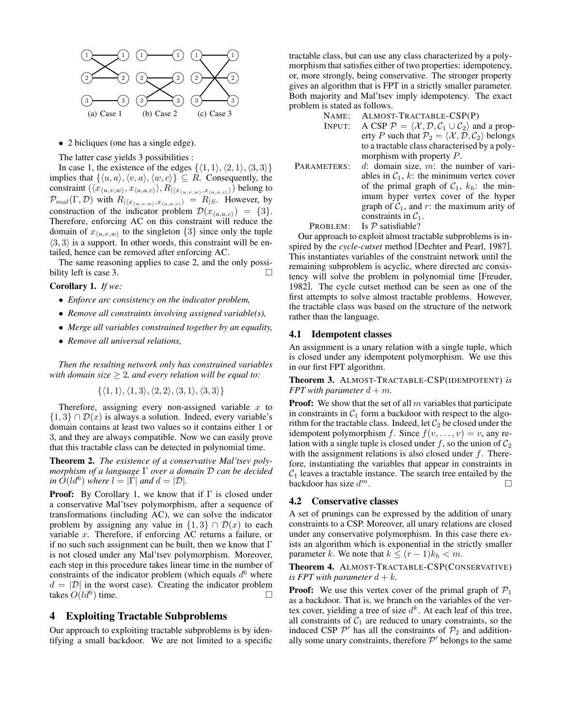

• 2 bicliques (one has a single edge).

The latter case yields 3 possibilities :

In case 1, the existence of the edges  $\{\langle 1, 1 \rangle, \langle 2, 1 \rangle, \langle 3, 3 \rangle\}$ implies that  $\{\langle u, a \rangle, \langle v, a \rangle, \langle w, c \rangle\} \subseteq R$ . Consequently, the constraint  $(\langle x_{\langle u,v,w \rangle}, x_{\langle a,a,c \rangle} \rangle, R_{|\langle x_{\langle u,v,w \rangle},x_{\langle a,a,c \rangle} \rangle})$  belong to  $\mathcal{P}_{mal}(\Gamma, \mathcal{D})$  with  $R_{|\langle x_{\langle u,v,w \rangle},x_{\langle a,a,c \rangle} \rangle} = R_{|S}$ . However, by construction of the indicator problem  $\mathcal{D}(x_{\langle a,a,c\rangle}) = \{3\}.$ Therefore, enforcing AC on this constraint will reduce the domain of  $x_{\langle u,v,w \rangle}$  to the singleton  $\{3\}$  since only the tuple  $\langle 3, 3 \rangle$  is a support. In other words, this constraint will be entailed, hence can be removed after enforcing AC.

The same reasoning applies to case 2, and the only possibility left is case 3.  $\Box$ 

#### Corollary 1. *If we:*

- *Enforce arc consistency on the indicator problem,*
- *Remove all constraints involving assigned variable(s),*
- *Merge all variables constrained together by an equality,*
- *Remove all universal relations,*

*Then the resulting network only has constrained variables with domain size* ≥ 2*, and every relation will be equal to:*

$$
\{\langle 1,1\rangle,\langle 1,3\rangle,\langle 2,2\rangle,\langle 3,1\rangle,\langle 3,3\rangle\}
$$

Therefore, assigning every non-assigned variable  $x$  to  $\{1,3\} \cap \mathcal{D}(x)$  is always a solution. Indeed, every variable's domain contains at least two values so it contains either 1 or 3, and they are always compatible. Now we can easily prove that this tractable class can be detected in polynomial time.

Theorem 2. *The existence of a conservative Mal'tsev polymorphism of a language* Γ *over a domain* D *can be decided in*  $\tilde{O}(ld^6)$  *where*  $l = |\Gamma|$  *and*  $d = |\mathcal{D}|$ *.* 

**Proof:** By Corollary 1, we know that if  $\Gamma$  is closed under a conservative Mal'tsev polymorphism, after a sequence of transformations (including AC), we can solve the indicator problem by assigning any value in  $\{1,3\} \cap \mathcal{D}(x)$  to each variable x. Therefore, if enforcing AC returns a failure, or if no such such assignment can be built, then we know that  $\Gamma$ is not closed under any Mal'tsev polymorphism. Moreover, each step in this procedure takes linear time in the number of constraints of the indicator problem (which equals  $d^6$  where  $d = |\mathcal{D}|$  in the worst case). Creating the indicator problem takes  $O(d\delta)$  time.

## 4 Exploiting Tractable Subproblems

Our approach to exploiting tractable subproblems is by identifying a small backdoor. We are not limited to a specific tractable class, but can use any class characterized by a polymorphism that satisfies either of two properties: idempotency, or, more strongly, being conservative. The stronger property gives an algorithm that is FPT in a strictly smaller parameter. Both majority and Mal'tsev imply idempotency. The exact problem is stated as follows.

- NAME: ALMOST-TRACTABLE-CSP(P)
- INPUT: A CSP  $P = \langle X, D, C_1 \cup C_2 \rangle$  and a property P such that  $P_2 = \langle X, D, C_2 \rangle$  belongs to a tractable class characterised by a polymorphism with property P.
- PARAMETERS:  $d$ : domain size, m: the number of variables in  $C_1$ , k: the minimum vertex cover of the primal graph of  $C_1$ ,  $k_h$ : the minimum hyper vertex cover of the hyper graph of  $C_1$ , and r: the maximum arity of constraints in  $C_1$ .
	- PROBLEM: Is  $P$  satisfiable?

Our approach to exploit almost tractable subproblems is inspired by the *cycle-cutset* method [Dechter and Pearl, 1987]. This instantiates variables of the constraint network until the remaining subproblem is acyclic, where directed arc consistency will solve the problem in polynomial time [Freuder, 1982]. The cycle cutset method can be seen as one of the first attempts to solve almost tractable problems. However, the tractable class was based on the structure of the network rather than the language.

#### 4.1 Idempotent classes

An assignment is a unary relation with a single tuple, which is closed under any idempotent polymorphism. We use this in our first FPT algorithm.

Theorem 3. ALMOST-TRACTABLE-CSP(IDEMPOTENT) *is FPT with parameter*  $d + m$ *.* 

**Proof:** We show that the set of all  $m$  variables that participate in constraints in  $C_1$  form a backdoor with respect to the algorithm for the tractable class. Indeed, let  $C_2$  be closed under the idempotent polymorphism f. Since  $f(v, \ldots, v) = v$ , any relation with a single tuple is closed under f, so the union of  $C_2$ with the assignment relations is also closed under  $f$ . Therefore, instantiating the variables that appear in constraints in  $C_1$  leaves a tractable instance. The search tree entailed by the backdoor has size  $d^m$ .  $m$ .

## 4.2 Conservative classes

A set of prunings can be expressed by the addition of unary constraints to a CSP. Moreover, all unary relations are closed under any conservative polymorphism. In this case there exists an algorithm which is exponential in the strictly smaller parameter k. We note that  $k \le (r-1)k_h < m$ .

## Theorem 4. ALMOST-TRACTABLE-CSP(CONSERVATIVE) *is FPT with parameter*  $d + k$ .

**Proof:** We use this vertex cover of the primal graph of  $P_1$ as a backdoor. That is, we branch on the variables of the vertex cover, yielding a tree of size  $d^k$ . At each leaf of this tree, all constraints of  $C_1$  are reduced to unary constraints, so the induced CSP  $\mathcal{P}'$  has all the constraints of  $\mathcal{P}_2$  and additionally some unary constraints, therefore  $\mathcal{P}'$  belongs to the same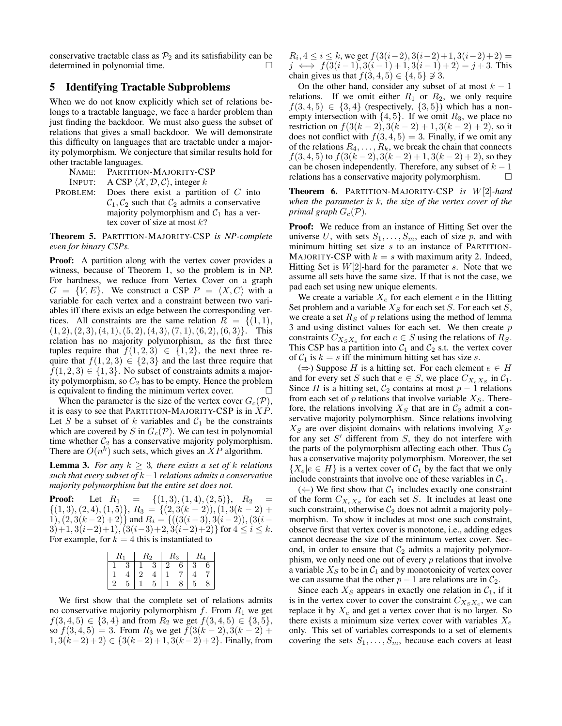conservative tractable class as  $\mathcal{P}_2$  and its satisfiability can be determined in polynomial time.

# 5 Identifying Tractable Subproblems

When we do not know explicitly which set of relations belongs to a tractable language, we face a harder problem than just finding the backdoor. We must also guess the subset of relations that gives a small backdoor. We will demonstrate this difficulty on languages that are tractable under a majority polymorphism. We conjecture that similar results hold for other tractable languages.

NAME: PARTITION-MAJORITY-CSP

INPUT: A CSP  $\langle X, \mathcal{D}, \mathcal{C} \rangle$ , integer k

PROBLEM: Does there exist a partition of  $C$  into  $C_1, C_2$  such that  $C_2$  admits a conservative majority polymorphism and  $C_1$  has a vertex cover of size at most  $k$ ?

Theorem 5. PARTITION-MAJORITY-CSP *is NP-complete even for binary CSPs.*

**Proof:** A partition along with the vertex cover provides a witness, because of Theorem 1, so the problem is in NP. For hardness, we reduce from Vertex Cover on a graph  $G = \{V, E\}$ . We construct a CSP  $P = \langle X, C \rangle$  with a variable for each vertex and a constraint between two variables iff there exists an edge between the corresponding vertices. All constraints are the same relation  $R = \{(1, 1),\}$  $(1, 2), (2, 3), (4, 1), (5, 2), (4, 3), (7, 1), (6, 2), (6, 3)$ . This relation has no majority polymorphism, as the first three tuples require that  $f(1, 2, 3) \in \{1, 2\}$ , the next three require that  $f(1, 2, 3) \in \{2, 3\}$  and the last three require that  $f(1, 2, 3) \in \{1, 3\}$ . No subset of constraints admits a majority polymorphism, so  $C_2$  has to be empty. Hence the problem is equivalent to finding the minimum vertex cover.  $\Box$ 

When the parameter is the size of the vertex cover  $G_c(\mathcal{P})$ , it is easy to see that PARTITION-MAJORITY-CSP is in  $XP$ . Let S be a subset of  $k$  variables and  $C_1$  be the constraints which are covered by S in  $G_c(\mathcal{P})$ . We can test in polynomial time whether  $C_2$  has a conservative majority polymorphism. There are  $O(n^k)$  such sets, which gives an  $XP$  algorithm.

**Lemma 3.** *For any*  $k \geq 3$ *, there exists a set of* k *relations such that every subset of* k−1 *relations admits a conservative majority polymorphism but the entire set does not.*

**Proof:** Let  $R_1 = \{(1, 3), (1, 4), (2, 5)\}, R_2 =$  $\{(1,3), (2,4), (1,5)\}, R_3 = \{(2, 3(k-2)), (1, 3(k-2) +$  $1), (2, 3(k-2)+2)$ } and  $R_i = \{((3(i-3), 3(i-2)), (3(i-2))\}$  $3)+1, 3(i-2)+1), (3(i-3)+2, 3(i-2)+2)$  for  $4 \le i \le k$ . For example, for  $k = 4$  this is instantiated to

|    |   | $R_{\rm 2}$ |   | $R_{3}$ |   | R4 |   |
|----|---|-------------|---|---------|---|----|---|
|    |   |             |   |         | 6 |    | 6 |
|    |   | "           |   |         |   |    |   |
| ., | h |             | 5 |         |   | ., | Ω |

We first show that the complete set of relations admits no conservative majority polymorphism  $f$ . From  $R_1$  we get  $f(3, 4, 5) \in \{3, 4\}$  and from  $R_2$  we get  $f(3, 4, 5) \in \{3, 5\}$ , so  $f(3, 4, 5) = 3$ . From  $R_3$  we get  $f(3(k-2), 3(k-2))$  +  $1, 3(k-2)+2) \in \{3(k-2)+1, 3(k-2)+2\}.$  Finally, from

 $R_i$ ,  $4 \le i \le k$ , we get  $f(3(i-2), 3(i-2)+1, 3(i-2)+2) =$  $j \iff f(3(i-1), 3(i-1)+1, 3(i-1)+2) = j+3$ . This chain gives us that  $f(3, 4, 5) \in \{4, 5\} \not\supseteq 3$ .

On the other hand, consider any subset of at most  $k - 1$ relations. If we omit either  $R_1$  or  $R_2$ , we only require  $f(3, 4, 5) \in \{3, 4\}$  (respectively,  $\{3, 5\}$ ) which has a nonempty intersection with  $\{4, 5\}$ . If we omit  $R_3$ , we place no restriction on  $f(3(k-2), 3(k-2) + 1, 3(k-2) + 2)$ , so it does not conflict with  $f(3, 4, 5) = 3$ . Finally, if we omit any of the relations  $R_4, \ldots, R_k$ , we break the chain that connects  $f(3, 4, 5)$  to  $f(3(k-2), 3(k-2)+1, 3(k-2)+2)$ , so they can be chosen independently. Therefore, any subset of  $k - 1$ relations has a conservative majority polymorphism.

Theorem 6. PARTITION-MAJORITY-CSP *is* W[2]*-hard when the parameter is* k*, the size of the vertex cover of the primal graph*  $G_c(\mathcal{P})$ *.* 

Proof: We reduce from an instance of Hitting Set over the universe U, with sets  $S_1, \ldots, S_m$ , each of size p, and with minimum hitting set size  $s$  to an instance of PARTITION-MAJORITY-CSP with  $k = s$  with maximum arity 2. Indeed, Hitting Set is  $W[2]$ -hard for the parameter s. Note that we assume all sets have the same size. If that is not the case, we pad each set using new unique elements.

We create a variable  $X_e$  for each element  $e$  in the Hitting Set problem and a variable  $X_S$  for each set S. For each set S, we create a set  $R_S$  of  $p$  relations using the method of lemma 3 and using distinct values for each set. We then create  $p$ constraints  $C_{X_sX_e}$  for each  $e \in S$  using the relations of  $R_S$ . This CSP has a partition into  $C_1$  and  $C_2$  s.t. the vertex cover of  $C_1$  is  $k = s$  iff the minimum hitting set has size s.

( $\Rightarrow$ ) Suppose *H* is a hitting set. For each element *e* ∈ *H* and for every set S such that  $e \in S$ , we place  $C_{X_e X_S}$  in  $C_1$ . Since H is a hitting set,  $C_2$  contains at most  $p-1$  relations from each set of  $p$  relations that involve variable  $X<sub>S</sub>$ . Therefore, the relations involving  $X_S$  that are in  $C_2$  admit a conservative majority polymorphism. Since relations involving  $X_S$  are over disjoint domains with relations involving  $X_{S}$ for any set  $S'$  different from  $S$ , they do not interfere with the parts of the polymorphism affecting each other. Thus  $C_2$ has a conservative majority polymorphism. Moreover, the set  ${X_e | e \in H}$  is a vertex cover of  $C_1$  by the fact that we only include constraints that involve one of these variables in  $C_1$ .

 $(\Leftarrow)$  We first show that  $C_1$  includes exactly one constraint of the form  $C_{X_e X_S}$  for each set S. It includes at least one such constraint, otherwise  $C_2$  does not admit a majority polymorphism. To show it includes at most one such constraint, observe first that vertex cover is monotone, i.e., adding edges cannot decrease the size of the minimum vertex cover. Second, in order to ensure that  $C_2$  admits a majority polymorphism, we only need one out of every  $p$  relations that involve a variable  $X_S$  to be in  $C_1$  and by monotonicity of vertex cover we can assume that the other  $p - 1$  are relations are in  $C_2$ .

Since each  $X<sub>S</sub>$  appears in exactly one relation in  $C<sub>1</sub>$ , if it is in the vertex cover to cover the constraint  $C_{X_sX_e}$ , we can replace it by  $X_e$  and get a vertex cover that is no larger. So there exists a minimum size vertex cover with variables  $X_e$ only. This set of variables corresponds to a set of elements covering the sets  $S_1, \ldots, S_m$ , because each covers at least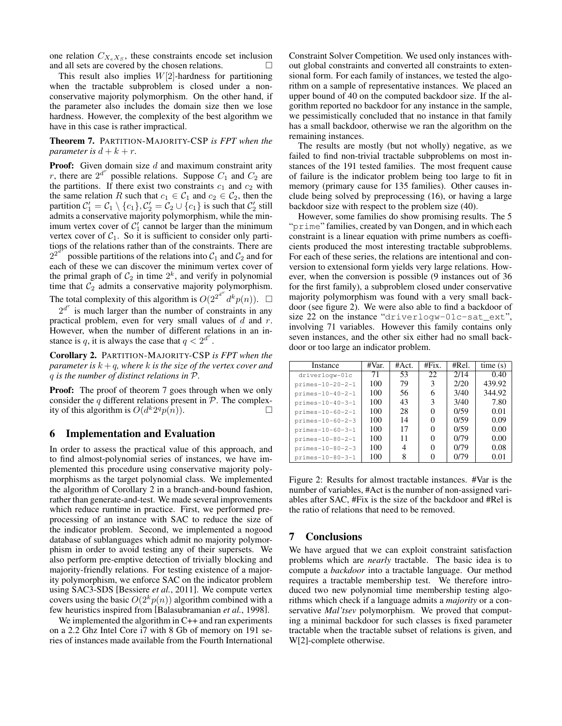one relation  $C_{X_e X_S}$ , these constraints encode set inclusion and all sets are covered by the chosen relations.

This result also implies  $W[2]$ -hardness for partitioning when the tractable subproblem is closed under a nonconservative majority polymorphism. On the other hand, if the parameter also includes the domain size then we lose hardness. However, the complexity of the best algorithm we have in this case is rather impractical.

Theorem 7. PARTITION-MAJORITY-CSP *is FPT when the parameter is*  $d + k + r$ .

**Proof:** Given domain size  $d$  and maximum constraint arity r, there are  $2^{d^r}$  possible relations. Suppose  $C_1$  and  $C_2$  are the partitions. If there exist two constraints  $c_1$  and  $c_2$  with the same relation R such that  $c_1 \in C_1$  and  $c_2 \in C_2$ , then the partition  $C_1' = C_1 \setminus \{c_1\}, C_2' = C_2 \cup \{c_1\}$  is such that  $C_2'$  still admits a conservative majority polymorphism, while the minimum vertex cover of  $C_1'$  cannot be larger than the minimum vertex cover of  $C_1$ . So it is sufficient to consider only partitions of the relations rather than of the constraints. There are  $2^{2^{d}}$  possible partitions of the relations into  $C_1$  and  $C_2$  and for each of these we can discover the minimum vertex cover of the primal graph of  $C_2$  in time  $2^k$ , and verify in polynomial time that  $C_2$  admits a conservative majority polymorphism. The total complexity of this algorithm is  $O(2^{2^{d^r}} d^k p(n))$ .  $\Box$ 

 $2^{d^r}$  is much larger than the number of constraints in any practical problem, even for very small values of  $d$  and  $r$ . However, when the number of different relations in an instance is q, it is always the case that  $q < 2^{d^r}$ .

Corollary 2. PARTITION-MAJORITY-CSP *is FPT when the parameter is*  $k + q$ *, where* k *is the size of the vertex cover and* q *is the number of distinct relations in* P*.*

Proof: The proof of theorem 7 goes through when we only consider the q different relations present in  $P$ . The complexity of this algorithm is  $O(d^k 2^q p(n))$ .

## 6 Implementation and Evaluation

In order to assess the practical value of this approach, and to find almost-polynomial series of instances, we have implemented this procedure using conservative majority polymorphisms as the target polynomial class. We implemented the algorithm of Corollary 2 in a branch-and-bound fashion, rather than generate-and-test. We made several improvements which reduce runtime in practice. First, we performed preprocessing of an instance with SAC to reduce the size of the indicator problem. Second, we implemented a nogood database of sublanguages which admit no majority polymorphism in order to avoid testing any of their supersets. We also perform pre-emptive detection of trivially blocking and majority-friendly relations. For testing existence of a majority polymorphism, we enforce SAC on the indicator problem using SAC3-SDS [Bessiere *et al.*, 2011]. We compute vertex covers using the basic  $O(2^k p(n))$  algorithm combined with a few heuristics inspired from [Balasubramanian *et al.*, 1998].

We implemented the algorithm in C++ and ran experiments on a 2.2 Ghz Intel Core i7 with 8 Gb of memory on 191 series of instances made available from the Fourth International Constraint Solver Competition. We used only instances without global constraints and converted all constraints to extensional form. For each family of instances, we tested the algorithm on a sample of representative instances. We placed an upper bound of 40 on the computed backdoor size. If the algorithm reported no backdoor for any instance in the sample, we pessimistically concluded that no instance in that family has a small backdoor, otherwise we ran the algorithm on the remaining instances.

The results are mostly (but not wholly) negative, as we failed to find non-trivial tractable subproblems on most instances of the 191 tested families. The most frequent cause of failure is the indicator problem being too large to fit in memory (primary cause for 135 families). Other causes include being solved by preprocessing (16), or having a large backdoor size with respect to the problem size (40).

However, some families do show promising results. The 5 "prime" families, created by van Dongen, and in which each constraint is a linear equation with prime numbers as coefficients produced the most interesting tractable subproblems. For each of these series, the relations are intentional and conversion to extensional form yields very large relations. However, when the conversion is possible (9 instances out of 36 for the first family), a subproblem closed under conservative majority polymorphism was found with a very small backdoor (see figure 2). We were also able to find a backdoor of size 22 on the instance "driverlogw-01c-sat\_ext", involving 71 variables. However this family contains only seven instances, and the other six either had no small backdoor or too large an indicator problem.

| Instance                  | #Var. | #Act. | #Fix. | #Rel. | time(s) |
|---------------------------|-------|-------|-------|-------|---------|
| driverlogw-01c            | 71    | 53    | 22    | 2/14  | 0.40    |
| $primes -10 - 20 - 2 - 1$ | 100   | 79    | 3     | 2/20  | 439.92  |
| $primes -10 - 40 - 2 - 1$ | 100   | 56    | 6     | 3/40  | 344.92  |
| primes-10-40-3-1          | 100   | 43    | 3     | 3/40  | 7.80    |
| primes-10-60-2-1          | 100   | 28    | 0     | 0/59  | 0.01    |
| $primes -10 - 60 - 2 - 3$ | 100   | 14    | 0     | 0/59  | 0.09    |
| primes-10-60-3-1          | 100   | 17    | 0     | 0/59  | 0.00    |
| primes-10-80-2-1          | 100   | 11    | 0     | 0/79  | 0.00    |
| primes-10-80-2-3          | 100   |       | 0     | 0/79  | 0.08    |
| primes-10-80-3-1          | 100   | 8     |       | 0/79  | 0.01    |

Figure 2: Results for almost tractable instances. #Var is the number of variables, #Act is the number of non-assigned variables after SAC, #Fix is the size of the backdoor and #Rel is the ratio of relations that need to be removed.

# 7 Conclusions

We have argued that we can exploit constraint satisfaction problems which are *nearly* tractable. The basic idea is to compute a *backdoor* into a tractable language. Our method requires a tractable membership test. We therefore introduced two new polynomial time membership testing algorithms which check if a language admits a *majority* or a conservative *Mal'tsev* polymorphism. We proved that computing a minimal backdoor for such classes is fixed parameter tractable when the tractable subset of relations is given, and W[2]-complete otherwise.